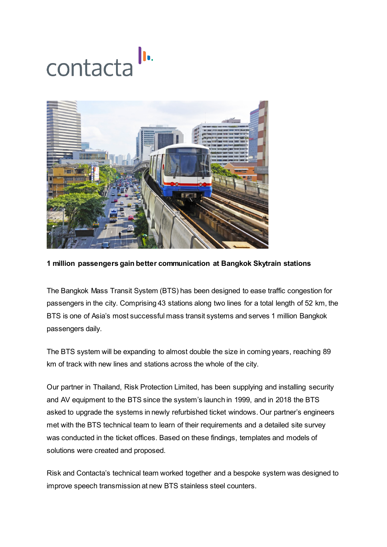



## **1 million passengers gain better communication at Bangkok Skytrain stations**

The Bangkok Mass Transit System (BTS) has been designed to ease traffic congestion for passengers in the city. Comprising 43 stations along two lines for a total length of 52 km, the BTS is one of Asia's most successful mass transit systems and serves 1 million Bangkok passengers daily.

The BTS system will be expanding to almost double the size in coming years, reaching 89 km of track with new lines and stations across the whole of the city.

Our partner in Thailand, Risk Protection Limited, has been supplying and installing security and AV equipment to the BTS since the system's launch in 1999, and in 2018 the BTS asked to upgrade the systems in newly refurbished ticket windows. Our partner's engineers met with the BTS technical team to learn of their requirements and a detailed site survey was conducted in the ticket offices. Based on these findings, templates and models of solutions were created and proposed.

Risk and Contacta's technical team worked together and a bespoke system was designed to improve speech transmission at new BTS stainless steel counters.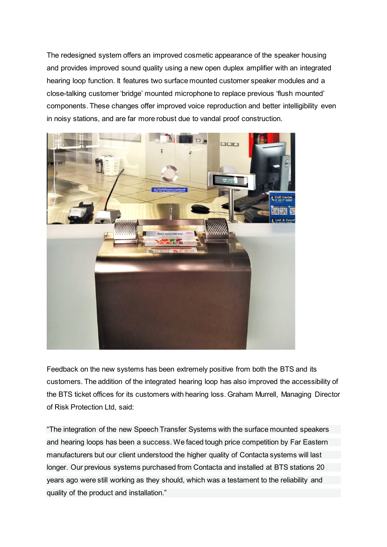The redesigned system offers an improved cosmetic appearance of the speaker housing and provides improved sound quality using a new open duplex amplifier with an integrated hearing loop function. It features two surface mounted customer speaker modules and a close-talking customer 'bridge' mounted microphone to replace previous 'flush mounted' components. These changes offer improved voice reproduction and better intelligibility even in noisy stations, and are far more robust due to vandal proof construction.



Feedback on the new systems has been extremely positive from both the BTS and its customers. The addition of the integrated hearing loop has also improved the accessibility of the BTS ticket offices for its customers with hearing loss. Graham Murrell, Managing Director of Risk Protection Ltd, said:

"The integration of the new Speech Transfer Systems with the surface mounted speakers and hearing loops has been a success. We faced tough price competition by Far Eastern manufacturers but our client understood the higher quality of Contacta systems will last longer. Our previous systems purchased from Contacta and installed at BTS stations 20 years ago were still working as they should, which was a testament to the reliability and quality of the product and installation."